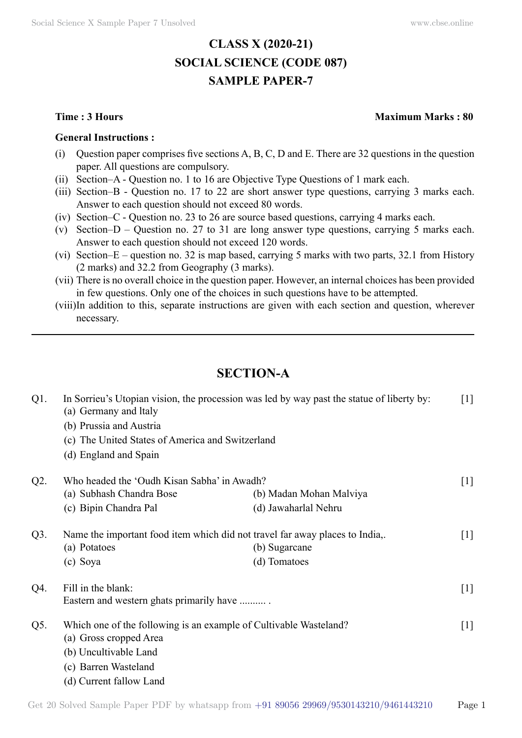# **CLASS X (2020-21) SOCIAL SCIENCE (CODE 087) SAMPLE PAPER-7**

#### **General Instructions :**

- (i) Question paper comprises five sections  $A, B, C, D$  and E. There are 32 questions in the question paper. All questions are compulsory.
- (ii) Section–A Question no. 1 to 16 are Objective Type Questions of 1 mark each.
- (iii) Section–B Question no. 17 to 22 are short answer type questions, carrying 3 marks each. Answer to each question should not exceed 80 words.
- (iv) Section–C Question no. 23 to 26 are source based questions, carrying 4 marks each.
- (v) Section–D Question no. 27 to 31 are long answer type questions, carrying 5 marks each. Answer to each question should not exceed 120 words.
- (vi) Section–E question no. 32 is map based, carrying 5 marks with two parts, 32.1 from History (2 marks) and 32.2 from Geography (3 marks).
- (vii) There is no overall choice in the question paper. However, an internal choices has been provided in few questions. Only one of the choices in such questions have to be attempted.
- (viii)In addition to this, separate instructions are given with each section and question, wherever necessary.

# **Section-A**

| $Q1$ . | In Sorrieu's Utopian vision, the procession was led by way past the statue of liberty by:<br>(a) Germany and Italy<br>(b) Prussia and Austria |                         | $[1]$ |
|--------|-----------------------------------------------------------------------------------------------------------------------------------------------|-------------------------|-------|
|        |                                                                                                                                               |                         |       |
|        | (c) The United States of America and Switzerland                                                                                              |                         |       |
|        | (d) England and Spain                                                                                                                         |                         |       |
| $Q2$ . | Who headed the 'Oudh Kisan Sabha' in Awadh?                                                                                                   |                         | $[1]$ |
|        | (a) Subhash Chandra Bose                                                                                                                      | (b) Madan Mohan Malviya |       |
|        | (c) Bipin Chandra Pal                                                                                                                         | (d) Jawaharlal Nehru    |       |
| $Q3$ . | Name the important food item which did not travel far away places to India,.                                                                  |                         | $[1]$ |
|        | (a) Potatoes                                                                                                                                  | (b) Sugarcane           |       |
|        | (c) Soya                                                                                                                                      | (d) Tomatoes            |       |
| Q4.    | Fill in the blank:                                                                                                                            |                         | $[1]$ |
|        | Eastern and western ghats primarily have                                                                                                      |                         |       |
| Q5.    | Which one of the following is an example of Cultivable Wasteland?                                                                             |                         | $[1]$ |
|        | (a) Gross cropped Area                                                                                                                        |                         |       |
|        | (b) Uncultivable Land                                                                                                                         |                         |       |
|        | (c) Barren Wasteland                                                                                                                          |                         |       |
|        | (d) Current fallow Land                                                                                                                       |                         |       |

#### **Time : 3 Hours Maximum Marks : 80**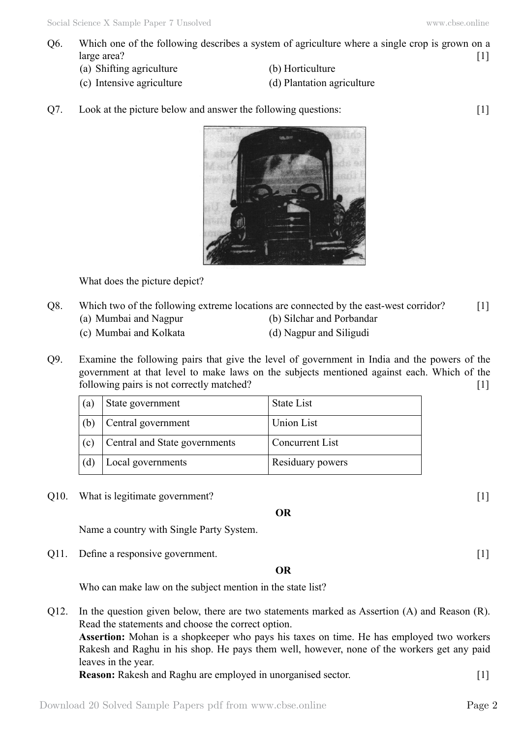- Q6. Which one of the following describes a system of agriculture where a single crop is grown on a large area? [1]
	- (a) Shifting agriculture (b) Horticulture
	- (c) Intensive agriculture (d) Plantation agriculture
- -
- Q7. Look at the picture below and answer the following questions: [1]



What does the picture depict?

- Q8. Which two of the following extreme locations are connected by the east-west corridor? [1] (a) Mumbai and Nagpur (b) Silchar and Porbandar
	- (c) Mumbai and Kolkata (d) Nagpur and Siligudi
- 
- 
- Q9. Examine the following pairs that give the level of government in India and the powers of the government at that level to make laws on the subjects mentioned against each. Which of the following pairs is not correctly matched? [1]

| (a) | State government              | State List              |
|-----|-------------------------------|-------------------------|
| (b) | Central government            | <b>Union List</b>       |
| (c) | Central and State governments | Concurrent List         |
| (d) | Local governments             | <b>Residuary powers</b> |

Q10. What is legitimate government?

 **O**

Name a country with Single Party System.

Q11. Define a responsive government. [1]

 **O**

Who can make law on the subject mention in the state list?

Q12. In the question given below, there are two statements marked as Assertion (A) and Reason (R). Read the statements and choose the correct option. **Assertion:** Mohan is a shopkeeper who pays his taxes on time. He has employed two workers Rakesh and Raghu in his shop. He pays them well, however, none of the workers get any paid leaves in the year. **Reason:** Rakesh and Raghu are employed in unorganised sector. [1]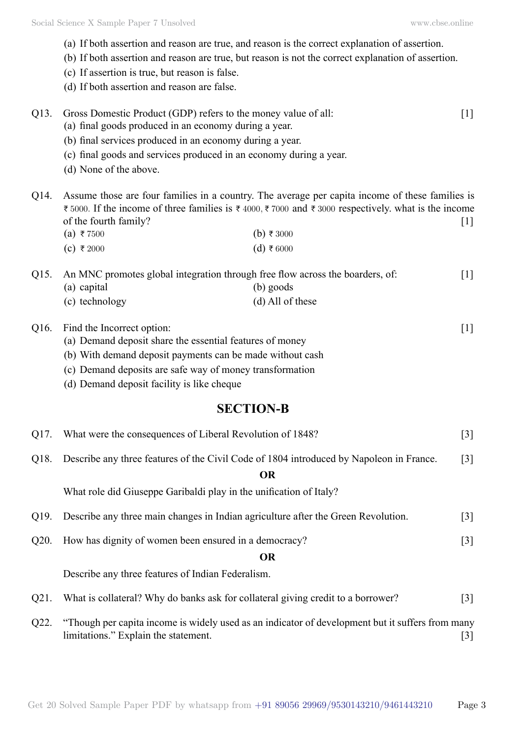- (a) If both assertion and reason are true, and reason is the correct explanation of assertion.
- (b) If both assertion and reason are true, but reason is not the correct explanation of assertion.
- (c) If assertion is true, but reason is false.
- (d) If both assertion and reason are false.

| Q13. | Gross Domestic Product (GDP) refers to the money value of all:<br>(a) final goods produced in an economy during a year.<br>(b) final services produced in an economy during a year.<br>(c) final goods and services produced in an economy during a year.<br>(d) None of the above. |                                                                                                  | $[1]$ |
|------|-------------------------------------------------------------------------------------------------------------------------------------------------------------------------------------------------------------------------------------------------------------------------------------|--------------------------------------------------------------------------------------------------|-------|
| Q14. | Assume those are four families in a country. The average per capita income of these families is<br>₹ 5000. If the income of three families is ₹ 4000, ₹ 7000 and ₹ 3000 respectively. what is the income<br>of the fourth family?                                                   |                                                                                                  | $[1]$ |
|      | (a) ₹7500                                                                                                                                                                                                                                                                           | (b) ₹ 3000                                                                                       |       |
|      | (c) ₹ 2000                                                                                                                                                                                                                                                                          | $(d)$ ₹ 6000                                                                                     |       |
| Q15. | An MNC promotes global integration through free flow across the boarders, of:<br>(a) capital<br>(c) technology                                                                                                                                                                      | $(b)$ goods<br>(d) All of these                                                                  | $[1]$ |
| Q16. | Find the Incorrect option:<br>(a) Demand deposit share the essential features of money<br>(b) With demand deposit payments can be made without cash<br>(c) Demand deposits are safe way of money transformation<br>(d) Demand deposit facility is like cheque                       |                                                                                                  | $[1]$ |
|      |                                                                                                                                                                                                                                                                                     | <b>SECTION-B</b>                                                                                 |       |
| Q17. | What were the consequences of Liberal Revolution of 1848?                                                                                                                                                                                                                           |                                                                                                  | $[3]$ |
| Q18. | Describe any three features of the Civil Code of 1804 introduced by Napoleon in France.                                                                                                                                                                                             | <b>OR</b>                                                                                        | $[3]$ |
|      | What role did Giuseppe Garibaldi play in the unification of Italy?                                                                                                                                                                                                                  |                                                                                                  |       |
| Q19. | Describe any three main changes in Indian agriculture after the Green Revolution.                                                                                                                                                                                                   |                                                                                                  | $[3]$ |
| Q20. | How has dignity of women been ensured in a democracy?                                                                                                                                                                                                                               | <b>OR</b>                                                                                        | $[3]$ |
|      | Describe any three features of Indian Federalism.                                                                                                                                                                                                                                   |                                                                                                  |       |
| Q21. | What is collateral? Why do banks ask for collateral giving credit to a borrower?                                                                                                                                                                                                    |                                                                                                  | $[3]$ |
| Q22. | limitations." Explain the statement.                                                                                                                                                                                                                                                | "Though per capita income is widely used as an indicator of development but it suffers from many | $[3]$ |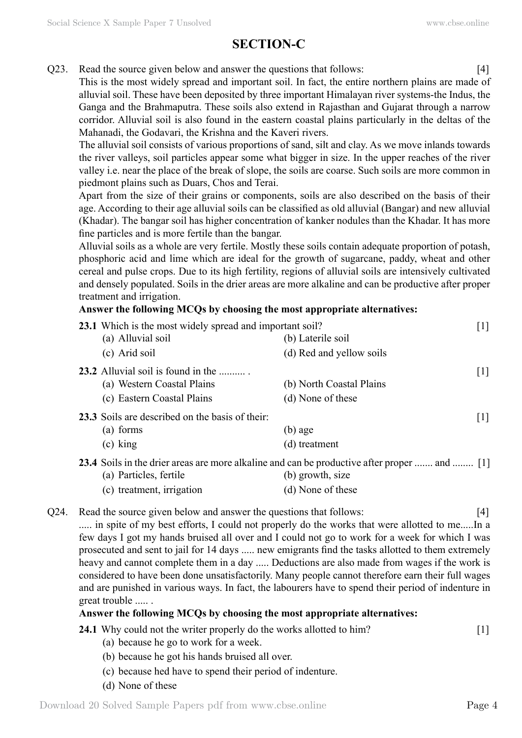# **Section-C**

Q23. Read the source given below and answer the questions that follows: [4]

This is the most widely spread and important soil. In fact, the entire northern plains are made of alluvial soil. These have been deposited by three important Himalayan river systems-the Indus, the Ganga and the Brahmaputra. These soils also extend in Rajasthan and Gujarat through a narrow corridor. Alluvial soil is also found in the eastern coastal plains particularly in the deltas of the Mahanadi, the Godavari, the Krishna and the Kaveri rivers.

The alluvial soil consists of various proportions of sand, silt and clay. As we move inlands towards the river valleys, soil particles appear some what bigger in size. In the upper reaches of the river valley i.e. near the place of the break of slope, the soils are coarse. Such soils are more common in piedmont plains such as Duars, Chos and Terai.

Apart from the size of their grains or components, soils are also described on the basis of their age. According to their age alluvial soils can be classified as old alluvial (Bangar) and new alluvial (Khadar). The bangar soil has higher concentration of kanker nodules than the Khadar. It has more fine particles and is more fertile than the bangar.

Alluvial soils as a whole are very fertile. Mostly these soils contain adequate proportion of potash, phosphoric acid and lime which are ideal for the growth of sugarcane, paddy, wheat and other cereal and pulse crops. Due to its high fertility, regions of alluvial soils are intensively cultivated and densely populated. Soils in the drier areas are more alkaline and can be productive after proper treatment and irrigation.

#### **Answer the following MCQs by choosing the most appropriate alternatives:**

|                                                 | 23.1 Which is the most widely spread and important soil?                                     |       |
|-------------------------------------------------|----------------------------------------------------------------------------------------------|-------|
| (a) Alluvial soil                               | (b) Laterile soil                                                                            |       |
| (c) Arid soil                                   | (d) Red and yellow soils                                                                     |       |
| <b>23.2</b> Alluvial soil is found in the       |                                                                                              | $[1]$ |
| (a) Western Coastal Plains                      | (b) North Coastal Plains                                                                     |       |
| (c) Eastern Coastal Plains                      | (d) None of these                                                                            |       |
| 23.3 Soils are described on the basis of their: |                                                                                              | $[1]$ |
| (a) forms                                       | $(b)$ age                                                                                    |       |
| $(c)$ king                                      | (d) treatment                                                                                |       |
|                                                 | 23.4 Soils in the drier areas are more alkaline and can be productive after proper  and  [1] |       |
| (a) Particles, fertile                          | (b) growth, size                                                                             |       |

- (c) treatment, irrigation (d) None of these
- Q24. Read the source given below and answer the questions that follows: [4]

..... in spite of my best efforts, I could not properly do the works that were allotted to me.....In a few days I got my hands bruised all over and I could not go to work for a week for which I was prosecuted and sent to jail for 14 days ..... new emigrants find the tasks allotted to them extremely heavy and cannot complete them in a day ..... Deductions are also made from wages if the work is considered to have been done unsatisfactorily. Many people cannot therefore earn their full wages and are punished in various ways. In fact, the labourers have to spend their period of indenture in

great trouble ..... .

### **Answer the following MCQs by choosing the most appropriate alternatives:**

- **24.1** Why could not the writer properly do the works allotted to him?
	- (a) because he go to work for a week.
	- (b) because he got his hands bruised all over.
	- (c) because hed have to spend their period of indenture.
	- (d) None of these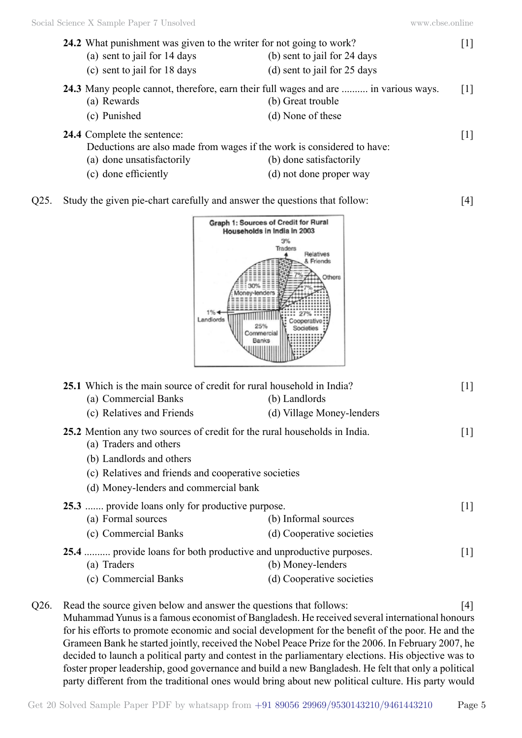|                              | 24.2 What punishment was given to the writer for not going to work?                        |     |
|------------------------------|--------------------------------------------------------------------------------------------|-----|
| (a) sent to jail for 14 days | (b) sent to jail for 24 days                                                               |     |
| (c) sent to jail for 18 days | (d) sent to jail for 25 days                                                               |     |
|                              | <b>24.3</b> Many people cannot, therefore, earn their full wages and are  in various ways. | [1] |
| (a) Rewards                  | (b) Great trouble                                                                          |     |
| (c) Punished                 | (d) None of these                                                                          |     |
| 24.4 Complete the sentence:  |                                                                                            | [1] |
|                              | Deductions are also made from wages if the work is considered to have:                     |     |
| (a) done unsatisfactorily    | (b) done satisfactorily                                                                    |     |
| (c) done efficiently         | (d) not done proper way                                                                    |     |

Q25. Study the given pie-chart carefully and answer the questions that follow: [4]



| 25.1 Which is the main source of credit for rural household in India?<br>(a) Commercial Banks<br>(c) Relatives and Friends                                                                                                      | (b) Landlords<br>(d) Village Money-lenders        | $[1] % \includegraphics[width=0.9\columnwidth]{figures/fig_10.pdf} \caption{The figure shows the number of different models. The left side is the number of~\acp{fig_10}~(a) and the number of~\acp{fig_10}~(b) are the number of~\acp{fig_10}~(c) and the number of~\acp{fig_10}~(d) are the number of~\acp{fig_10}~(d) and the number of~\acp{fig_10}~(e) are the number of~\acp{fig_10}~(d) and the number of~\acp{fig_10}~(e) are the number of~\acp{fig_10}~(d) and the number of~\acp{fig_10}~(f)$ |
|---------------------------------------------------------------------------------------------------------------------------------------------------------------------------------------------------------------------------------|---------------------------------------------------|----------------------------------------------------------------------------------------------------------------------------------------------------------------------------------------------------------------------------------------------------------------------------------------------------------------------------------------------------------------------------------------------------------------------------------------------------------------------------------------------------------|
| 25.2 Mention any two sources of credit for the rural households in India.<br>(a) Traders and others<br>(b) Landlords and others<br>(c) Relatives and friends and cooperative societies<br>(d) Money-lenders and commercial bank |                                                   |                                                                                                                                                                                                                                                                                                                                                                                                                                                                                                          |
| 25.3  provide loans only for productive purpose.<br>(a) Formal sources<br>(c) Commercial Banks                                                                                                                                  | (b) Informal sources<br>(d) Cooperative societies | $\lceil 1 \rceil$                                                                                                                                                                                                                                                                                                                                                                                                                                                                                        |
| 25.4  provide loans for both productive and unproductive purposes.<br>(a) Traders<br>(c) Commercial Banks                                                                                                                       | (b) Money-lenders<br>(d) Cooperative societies    | $[1]$                                                                                                                                                                                                                                                                                                                                                                                                                                                                                                    |

Q26. Read the source given below and answer the questions that follows: [4] Muhammad Yunus is a famous economist of Bangladesh. He received several international honours for his efforts to promote economic and social development for the benefit of the poor. He and the Grameen Bank he started jointly, received the Nobel Peace Prize for the 2006. In February 2007, he decided to launch a political party and contest in the parliamentary elections. His objective was to foster proper leadership, good governance and build a new Bangladesh. He felt that only a political party different from the traditional ones would bring about new political culture. His party would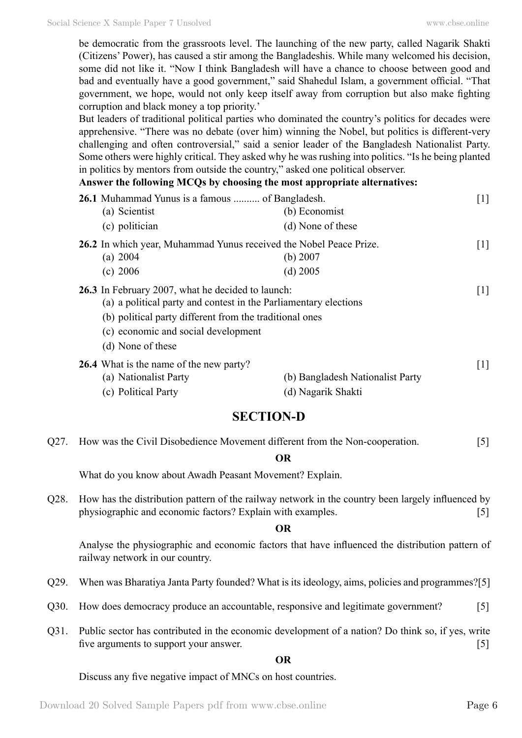be democratic from the grassroots level. The launching of the new party, called Nagarik Shakti (Citizens' Power), has caused a stir among the Bangladeshis. While many welcomed his decision, some did not like it. "Now I think Bangladesh will have a chance to choose between good and bad and eventually have a good government," said Shahedul Islam, a government official. "That government, we hope, would not only keep itself away from corruption but also make fighting corruption and black money a top priority.'

But leaders of traditional political parties who dominated the country's politics for decades were apprehensive. "There was no debate (over him) winning the Nobel, but politics is different-very challenging and often controversial," said a senior leader of the Bangladesh Nationalist Party. Some others were highly critical. They asked why he was rushing into politics. "Is he being planted in politics by mentors from outside the country," asked one political observer.

#### **Answer the following MCQs by choosing the most appropriate alternatives:**

| 26.1 Muhammad Yunus is a famous  of Bangladesh.                                                                                                                                                                                                     |                                                        | $\lceil 1 \rceil$ |
|-----------------------------------------------------------------------------------------------------------------------------------------------------------------------------------------------------------------------------------------------------|--------------------------------------------------------|-------------------|
| (a) Scientist                                                                                                                                                                                                                                       | (b) Economist                                          |                   |
| (c) politician                                                                                                                                                                                                                                      | (d) None of these                                      |                   |
| 26.2 In which year, Muhammad Yunus received the Nobel Peace Prize.<br>(a) 2004<br>(c) 2006                                                                                                                                                          | (b) $2007$<br>$(d)$ 2005                               | $[1]$             |
| <b>26.3</b> In February 2007, what he decided to launch:<br>(a) a political party and contest in the Parliamentary elections<br>(b) political party different from the traditional ones<br>(c) economic and social development<br>(d) None of these |                                                        | $[1]$             |
| 26.4 What is the name of the new party?<br>(a) Nationalist Party<br>(c) Political Party                                                                                                                                                             | (b) Bangladesh Nationalist Party<br>(d) Nagarik Shakti | $\lceil 1 \rceil$ |
| <b>SECTION-D</b>                                                                                                                                                                                                                                    |                                                        |                   |

# Q27. How was the Civil Disobedience Movement different from the Non-cooperation. [5]

 **O**

What do you know about Awadh Peasant Movement? Explain.

Q28. How has the distribution pattern of the railway network in the country been largely influenced by physiographic and economic factors? Explain with examples. [5]

 **O**

Analyse the physiographic and economic factors that have influenced the distribution pattern of railway network in our country.

- Q29. When was Bharatiya Janta Party founded? What is its ideology, aims, policies and programmes?[5]
- Q30. How does democracy produce an accountable, responsive and legitimate government? [5]
- Q31. Public sector has contributed in the economic development of a nation? Do think so, if yes, write five arguments to support your answer. [5]

 **O**

Discuss any five negative impact of MNCs on host countries.